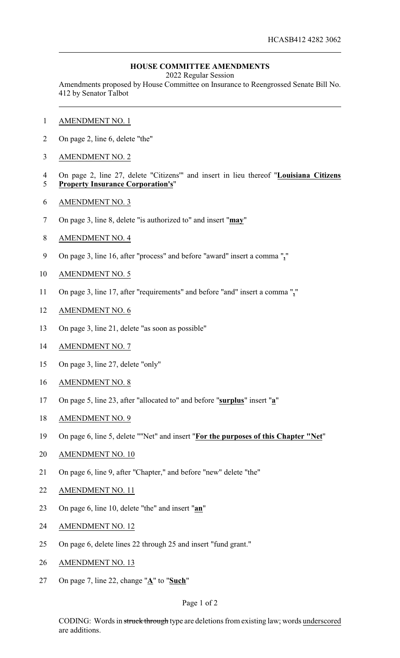## **HOUSE COMMITTEE AMENDMENTS**

2022 Regular Session

Amendments proposed by House Committee on Insurance to Reengrossed Senate Bill No. 412 by Senator Talbot

- AMENDMENT NO. 1
- On page 2, line 6, delete "the"
- AMENDMENT NO. 2
- On page 2, line 27, delete "Citizens'" and insert in lieu thereof "**Louisiana Citizens Property Insurance Corporation's**"
- AMENDMENT NO. 3
- On page 3, line 8, delete "is authorized to" and insert "**may**"
- AMENDMENT NO. 4
- On page 3, line 16, after "process" and before "award" insert a comma "**,**"
- AMENDMENT NO. 5
- On page 3, line 17, after "requirements" and before "and" insert a comma "**,**"
- AMENDMENT NO. 6
- On page 3, line 21, delete "as soon as possible"
- AMENDMENT NO. 7
- On page 3, line 27, delete "only"
- AMENDMENT NO. 8
- On page 5, line 23, after "allocated to" and before "**surplus**" insert "**a**"
- AMENDMENT NO. 9
- On page 6, line 5, delete ""Net" and insert "**For the purposes of this Chapter "Net**"
- AMENDMENT NO. 10
- On page 6, line 9, after "Chapter," and before "new" delete "the"
- AMENDMENT NO. 11
- On page 6, line 10, delete "the" and insert "**an**"
- AMENDMENT NO. 12
- On page 6, delete lines 22 through 25 and insert "fund grant."
- AMENDMENT NO. 13
- On page 7, line 22, change "**A**" to "**Such**"

## Page 1 of 2

CODING: Words in struck through type are deletions from existing law; words underscored are additions.